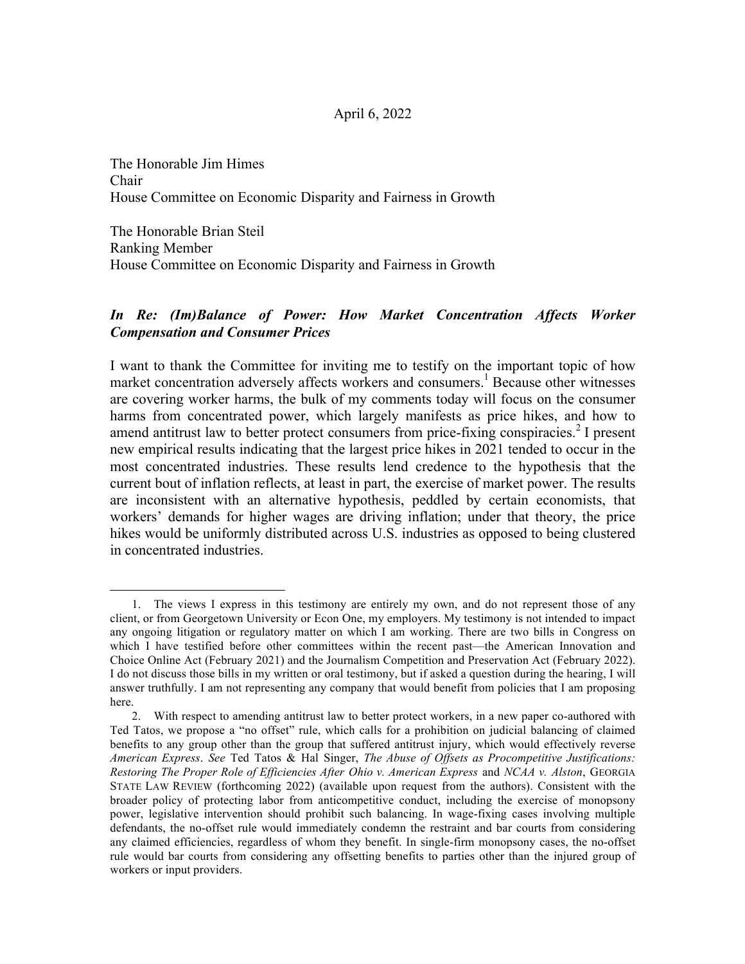## April 6, 2022

The Honorable Jim Himes Chair House Committee on Economic Disparity and Fairness in Growth

The Honorable Brian Steil Ranking Member House Committee on Economic Disparity and Fairness in Growth

 

## *In Re: (Im)Balance of Power: How Market Concentration Affects Worker Compensation and Consumer Prices*

I want to thank the Committee for inviting me to testify on the important topic of how market concentration adversely affects workers and consumers.<sup>1</sup> Because other witnesses are covering worker harms, the bulk of my comments today will focus on the consumer harms from concentrated power, which largely manifests as price hikes, and how to amend antitrust law to better protect consumers from price-fixing conspiracies.<sup>2</sup> I present new empirical results indicating that the largest price hikes in 2021 tended to occur in the most concentrated industries. These results lend credence to the hypothesis that the current bout of inflation reflects, at least in part, the exercise of market power. The results are inconsistent with an alternative hypothesis, peddled by certain economists, that workers' demands for higher wages are driving inflation; under that theory, the price hikes would be uniformly distributed across U.S. industries as opposed to being clustered in concentrated industries.

<sup>1.</sup> The views I express in this testimony are entirely my own, and do not represent those of any client, or from Georgetown University or Econ One, my employers. My testimony is not intended to impact any ongoing litigation or regulatory matter on which I am working. There are two bills in Congress on which I have testified before other committees within the recent past—the American Innovation and Choice Online Act (February 2021) and the Journalism Competition and Preservation Act (February 2022). I do not discuss those bills in my written or oral testimony, but if asked a question during the hearing, I will answer truthfully. I am not representing any company that would benefit from policies that I am proposing here.

<sup>2.</sup> With respect to amending antitrust law to better protect workers, in a new paper co-authored with Ted Tatos, we propose a "no offset" rule, which calls for a prohibition on judicial balancing of claimed benefits to any group other than the group that suffered antitrust injury, which would effectively reverse *American Express*. *See* Ted Tatos & Hal Singer, *The Abuse of Offsets as Procompetitive Justifications: Restoring The Proper Role of Efficiencies After Ohio v. American Express* and *NCAA v. Alston*, GEORGIA STATE LAW REVIEW (forthcoming 2022) (available upon request from the authors). Consistent with the broader policy of protecting labor from anticompetitive conduct, including the exercise of monopsony power, legislative intervention should prohibit such balancing. In wage-fixing cases involving multiple defendants, the no-offset rule would immediately condemn the restraint and bar courts from considering any claimed efficiencies, regardless of whom they benefit. In single-firm monopsony cases, the no-offset rule would bar courts from considering any offsetting benefits to parties other than the injured group of workers or input providers.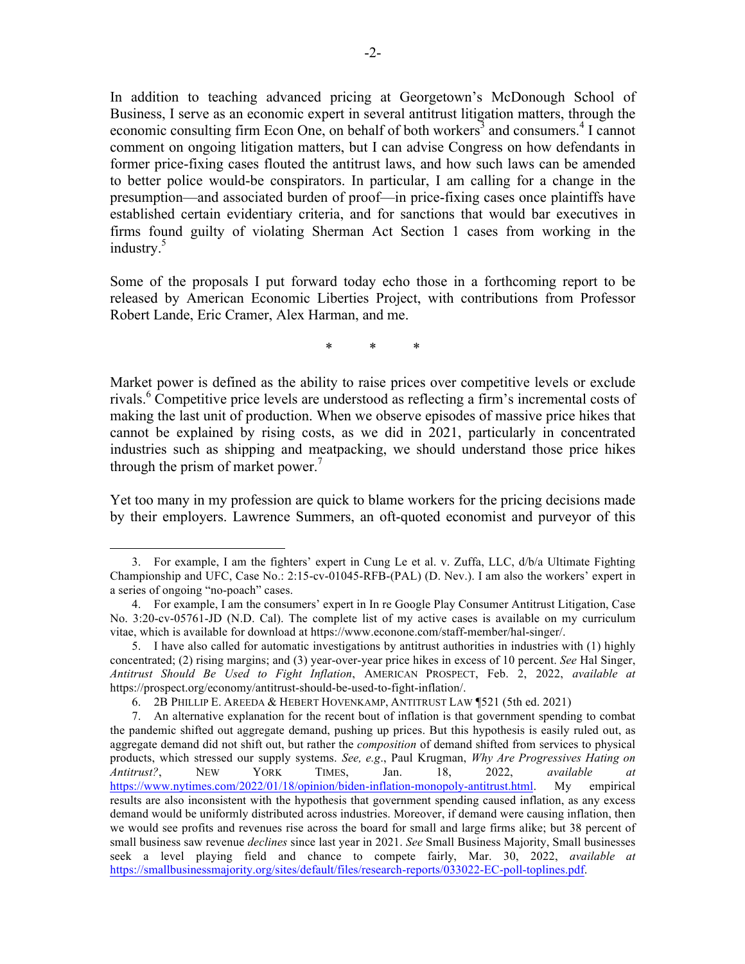In addition to teaching advanced pricing at Georgetown's McDonough School of Business, I serve as an economic expert in several antitrust litigation matters, through the economic consulting firm Econ One, on behalf of both workers<sup>3</sup> and consumers.<sup>4</sup> I cannot comment on ongoing litigation matters, but I can advise Congress on how defendants in former price-fixing cases flouted the antitrust laws, and how such laws can be amended to better police would-be conspirators. In particular, I am calling for a change in the presumption—and associated burden of proof—in price-fixing cases once plaintiffs have established certain evidentiary criteria, and for sanctions that would bar executives in firms found guilty of violating Sherman Act Section 1 cases from working in the industry.<sup>5</sup>

Some of the proposals I put forward today echo those in a forthcoming report to be released by American Economic Liberties Project, with contributions from Professor Robert Lande, Eric Cramer, Alex Harman, and me.

\* \* \*

Market power is defined as the ability to raise prices over competitive levels or exclude rivals. <sup>6</sup> Competitive price levels are understood as reflecting a firm's incremental costs of making the last unit of production. When we observe episodes of massive price hikes that cannot be explained by rising costs, as we did in 2021, particularly in concentrated industries such as shipping and meatpacking, we should understand those price hikes through the prism of market power. $\prime$ 

Yet too many in my profession are quick to blame workers for the pricing decisions made by their employers. Lawrence Summers, an oft-quoted economist and purveyor of this

<sup>3.</sup> For example, I am the fighters' expert in Cung Le et al. v. Zuffa, LLC, d/b/a Ultimate Fighting Championship and UFC, Case No.: 2:15-cv-01045-RFB-(PAL) (D. Nev.). I am also the workers' expert in a series of ongoing "no-poach" cases.

<sup>4.</sup> For example, I am the consumers' expert in In re Google Play Consumer Antitrust Litigation, Case No. 3:20-cv-05761-JD (N.D. Cal). The complete list of my active cases is available on my curriculum vitae, which is available for download at https://www.econone.com/staff-member/hal-singer/.

<sup>5.</sup> I have also called for automatic investigations by antitrust authorities in industries with (1) highly concentrated; (2) rising margins; and (3) year-over-year price hikes in excess of 10 percent. *See* Hal Singer, *Antitrust Should Be Used to Fight Inflation*, AMERICAN PROSPECT, Feb. 2, 2022, *available at* https://prospect.org/economy/antitrust-should-be-used-to-fight-inflation/.

<sup>6.</sup> 2B PHILLIP E. AREEDA & HEBERT HOVENKAMP, ANTITRUST LAW ¶521 (5th ed. 2021)

<sup>7.</sup> An alternative explanation for the recent bout of inflation is that government spending to combat the pandemic shifted out aggregate demand, pushing up prices. But this hypothesis is easily ruled out, as aggregate demand did not shift out, but rather the *composition* of demand shifted from services to physical products, which stressed our supply systems. *See, e.g*., Paul Krugman, *Why Are Progressives Hating on Antitrust?*, NEW YORK TIMES, Jan. 18, 2022, *available at* https://www.nytimes.com/2022/01/18/opinion/biden-inflation-monopoly-antitrust.html. My empirical results are also inconsistent with the hypothesis that government spending caused inflation, as any excess demand would be uniformly distributed across industries. Moreover, if demand were causing inflation, then we would see profits and revenues rise across the board for small and large firms alike; but 38 percent of small business saw revenue *declines* since last year in 2021. *See* Small Business Majority, Small businesses seek a level playing field and chance to compete fairly, Mar. 30, 2022, *available at* https://smallbusinessmajority.org/sites/default/files/research-reports/033022-EC-poll-toplines.pdf.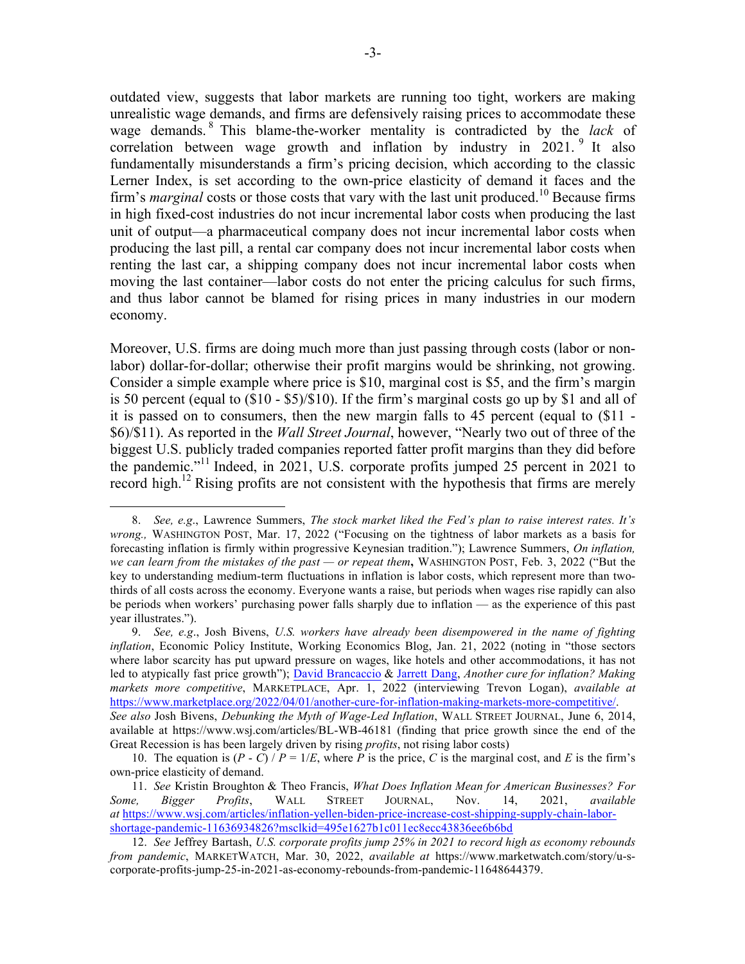outdated view, suggests that labor markets are running too tight, workers are making unrealistic wage demands, and firms are defensively raising prices to accommodate these wage demands. <sup>8</sup> This blame-the-worker mentality is contradicted by the *lack* of correlation between wage growth and inflation by industry in  $2021$ . It also fundamentally misunderstands a firm's pricing decision, which according to the classic Lerner Index, is set according to the own-price elasticity of demand it faces and the firm's *marginal* costs or those costs that vary with the last unit produced.<sup>10</sup> Because firms in high fixed-cost industries do not incur incremental labor costs when producing the last unit of output—a pharmaceutical company does not incur incremental labor costs when producing the last pill, a rental car company does not incur incremental labor costs when renting the last car, a shipping company does not incur incremental labor costs when moving the last container—labor costs do not enter the pricing calculus for such firms, and thus labor cannot be blamed for rising prices in many industries in our modern economy.

Moreover, U.S. firms are doing much more than just passing through costs (labor or nonlabor) dollar-for-dollar; otherwise their profit margins would be shrinking, not growing. Consider a simple example where price is \$10, marginal cost is \$5, and the firm's margin is 50 percent (equal to (\$10 - \$5)/\$10). If the firm's marginal costs go up by \$1 and all of it is passed on to consumers, then the new margin falls to 45 percent (equal to (\$11 - \$6)/\$11). As reported in the *Wall Street Journal*, however, "Nearly two out of three of the biggest U.S. publicly traded companies reported fatter profit margins than they did before the pandemic." <sup>11</sup> Indeed, in 2021, U.S. corporate profits jumped 25 percent in 2021 to record high.<sup>12</sup> Rising profits are not consistent with the hypothesis that firms are merely

<sup>8.</sup> *See, e.g*., Lawrence Summers, *The stock market liked the Fed's plan to raise interest rates. It's wrong.,* WASHINGTON POST, Mar. 17, 2022 ("Focusing on the tightness of labor markets as a basis for forecasting inflation is firmly within progressive Keynesian tradition."); Lawrence Summers, *On inflation, we can learn from the mistakes of the past — or repeat them***,** WASHINGTON POST, Feb. 3, 2022 ("But the key to understanding medium-term fluctuations in inflation is labor costs, which represent more than twothirds of all costs across the economy. Everyone wants a raise, but periods when wages rise rapidly can also be periods when workers' purchasing power falls sharply due to inflation — as the experience of this past year illustrates.").

<sup>9.</sup> *See, e.g*., Josh Bivens, *U.S. workers have already been disempowered in the name of fighting inflation*, Economic Policy Institute, Working Economics Blog, Jan. 21, 2022 (noting in "those sectors where labor scarcity has put upward pressure on wages, like hotels and other accommodations, it has not led to atypically fast price growth"); David Brancaccio & Jarrett Dang, *Another cure for inflation? Making markets more competitive*, MARKETPLACE, Apr. 1, 2022 (interviewing Trevon Logan), *available at* https://www.marketplace.org/2022/04/01/another-cure-for-inflation-making-markets-more-competitive/. *See also* Josh Bivens, *Debunking the Myth of Wage-Led Inflation*, WALL STREET JOURNAL, June 6, 2014, available at https://www.wsj.com/articles/BL-WB-46181 (finding that price growth since the end of the Great Recession is has been largely driven by rising *profits*, not rising labor costs)

<sup>10.</sup> The equation is  $(P - C) / P = 1/E$ , where *P* is the price, *C* is the marginal cost, and *E* is the firm's own-price elasticity of demand.

<sup>11.</sup> *See* Kristin Broughton & Theo Francis, *What Does Inflation Mean for American Businesses? For Some, Bigger Profits*, WALL STREET JOURNAL, Nov. 14, 2021, *available at* https://www.wsj.com/articles/inflation-yellen-biden-price-increase-cost-shipping-supply-chain-laborshortage-pandemic-11636934826?msclkid=495e1627b1c011ec8ecc43836ee6b6bd

<sup>12.</sup> *See* Jeffrey Bartash, *U.S. corporate profits jump 25% in 2021 to record high as economy rebounds from pandemic*, MARKETWATCH, Mar. 30, 2022, *available at* https://www.marketwatch.com/story/u-scorporate-profits-jump-25-in-2021-as-economy-rebounds-from-pandemic-11648644379.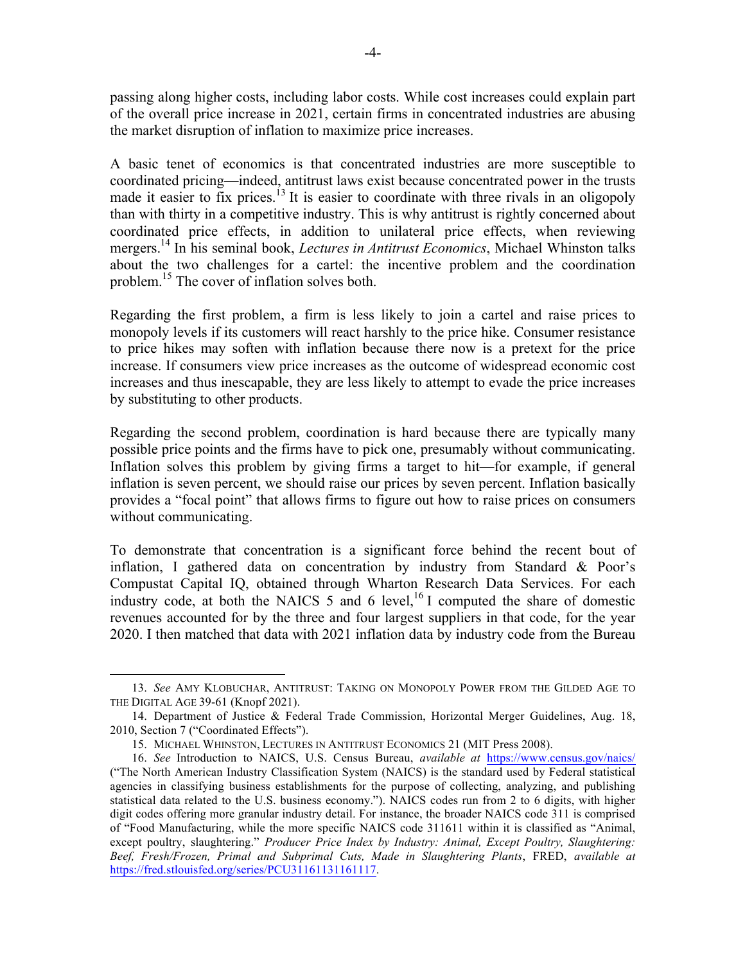passing along higher costs, including labor costs. While cost increases could explain part of the overall price increase in 2021, certain firms in concentrated industries are abusing the market disruption of inflation to maximize price increases.

A basic tenet of economics is that concentrated industries are more susceptible to coordinated pricing—indeed, antitrust laws exist because concentrated power in the trusts made it easier to fix prices.<sup>13</sup> It is easier to coordinate with three rivals in an oligopoly than with thirty in a competitive industry. This is why antitrust is rightly concerned about coordinated price effects, in addition to unilateral price effects, when reviewing mergers.14 In his seminal book, *Lectures in Antitrust Economics*, Michael Whinston talks about the two challenges for a cartel: the incentive problem and the coordination problem. <sup>15</sup> The cover of inflation solves both.

Regarding the first problem, a firm is less likely to join a cartel and raise prices to monopoly levels if its customers will react harshly to the price hike. Consumer resistance to price hikes may soften with inflation because there now is a pretext for the price increase. If consumers view price increases as the outcome of widespread economic cost increases and thus inescapable, they are less likely to attempt to evade the price increases by substituting to other products.

Regarding the second problem, coordination is hard because there are typically many possible price points and the firms have to pick one, presumably without communicating. Inflation solves this problem by giving firms a target to hit—for example, if general inflation is seven percent, we should raise our prices by seven percent. Inflation basically provides a "focal point" that allows firms to figure out how to raise prices on consumers without communicating.

To demonstrate that concentration is a significant force behind the recent bout of inflation, I gathered data on concentration by industry from Standard & Poor's Compustat Capital IQ, obtained through Wharton Research Data Services. For each industry code, at both the NAICS  $5$  and  $6$  level,<sup>16</sup> I computed the share of domestic revenues accounted for by the three and four largest suppliers in that code, for the year 2020. I then matched that data with 2021 inflation data by industry code from the Bureau

<sup>13.</sup> *See* AMY KLOBUCHAR, ANTITRUST: TAKING ON MONOPOLY POWER FROM THE GILDED AGE TO THE DIGITAL AGE 39-61 (Knopf 2021).

<sup>14.</sup> Department of Justice & Federal Trade Commission, Horizontal Merger Guidelines, Aug. 18, 2010, Section 7 ("Coordinated Effects").

<sup>15.</sup> MICHAEL WHINSTON, LECTURES IN ANTITRUST ECONOMICS 21 (MIT Press 2008).

<sup>16.</sup> *See* Introduction to NAICS, U.S. Census Bureau, *available at* https://www.census.gov/naics/ ("The North American Industry Classification System (NAICS) is the standard used by Federal statistical agencies in classifying business establishments for the purpose of collecting, analyzing, and publishing statistical data related to the U.S. business economy."). NAICS codes run from 2 to 6 digits, with higher digit codes offering more granular industry detail. For instance, the broader NAICS code 311 is comprised of "Food Manufacturing, while the more specific NAICS code 311611 within it is classified as "Animal, except poultry, slaughtering." *Producer Price Index by Industry: Animal, Except Poultry, Slaughtering: Beef, Fresh/Frozen, Primal and Subprimal Cuts, Made in Slaughtering Plants*, FRED, *available at* https://fred.stlouisfed.org/series/PCU31161131161117.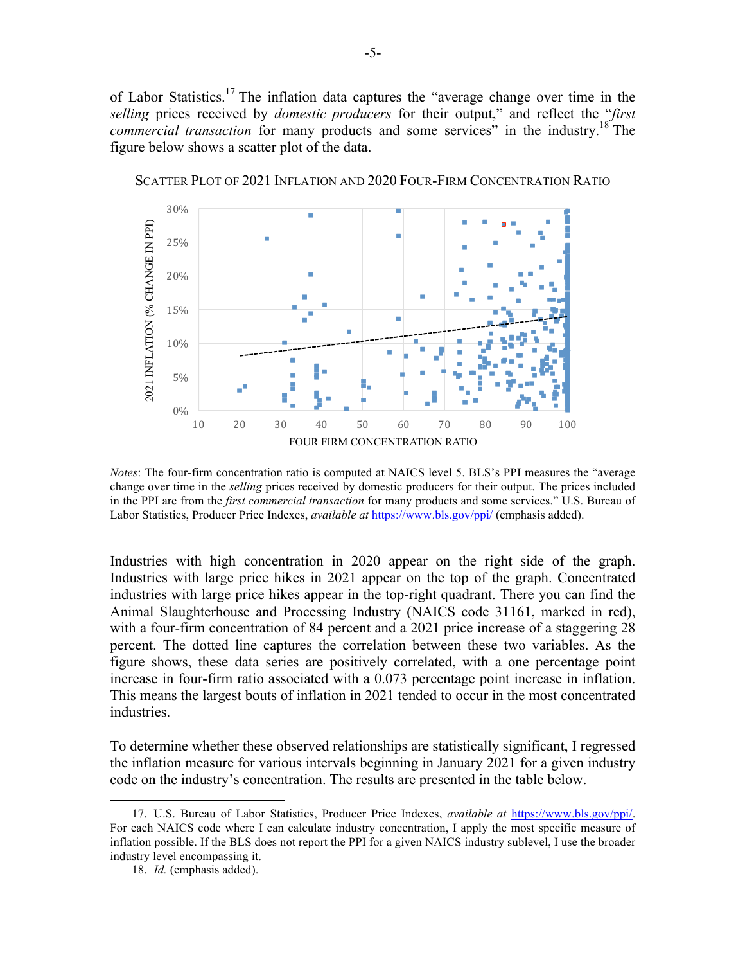of Labor Statistics.<sup>17</sup> The inflation data captures the "average change over time in the *selling* prices received by *domestic producers* for their output," and reflect the "*first commercial transaction* for many products and some services" in the industry.<sup>18</sup> The figure below shows a scatter plot of the data.



SCATTER PLOT OF 2021 INFLATION AND 2020 FOUR-FIRM CONCENTRATION RATIO

*Notes*: The four-firm concentration ratio is computed at NAICS level 5. BLS's PPI measures the "average change over time in the *selling* prices received by domestic producers for their output. The prices included in the PPI are from the *first commercial transaction* for many products and some services." U.S. Bureau of Labor Statistics, Producer Price Indexes, *available at* https://www.bls.gov/ppi/ (emphasis added).

Industries with high concentration in 2020 appear on the right side of the graph. Industries with large price hikes in 2021 appear on the top of the graph. Concentrated industries with large price hikes appear in the top-right quadrant. There you can find the Animal Slaughterhouse and Processing Industry (NAICS code 31161, marked in red), with a four-firm concentration of 84 percent and a 2021 price increase of a staggering 28 percent. The dotted line captures the correlation between these two variables. As the figure shows, these data series are positively correlated, with a one percentage point increase in four-firm ratio associated with a 0.073 percentage point increase in inflation. This means the largest bouts of inflation in 2021 tended to occur in the most concentrated industries.

To determine whether these observed relationships are statistically significant, I regressed the inflation measure for various intervals beginning in January 2021 for a given industry code on the industry's concentration. The results are presented in the table below.

<sup>17.</sup> U.S. Bureau of Labor Statistics, Producer Price Indexes, *available at* https://www.bls.gov/ppi/. For each NAICS code where I can calculate industry concentration, I apply the most specific measure of inflation possible. If the BLS does not report the PPI for a given NAICS industry sublevel, I use the broader industry level encompassing it.

<sup>18.</sup> *Id.* (emphasis added).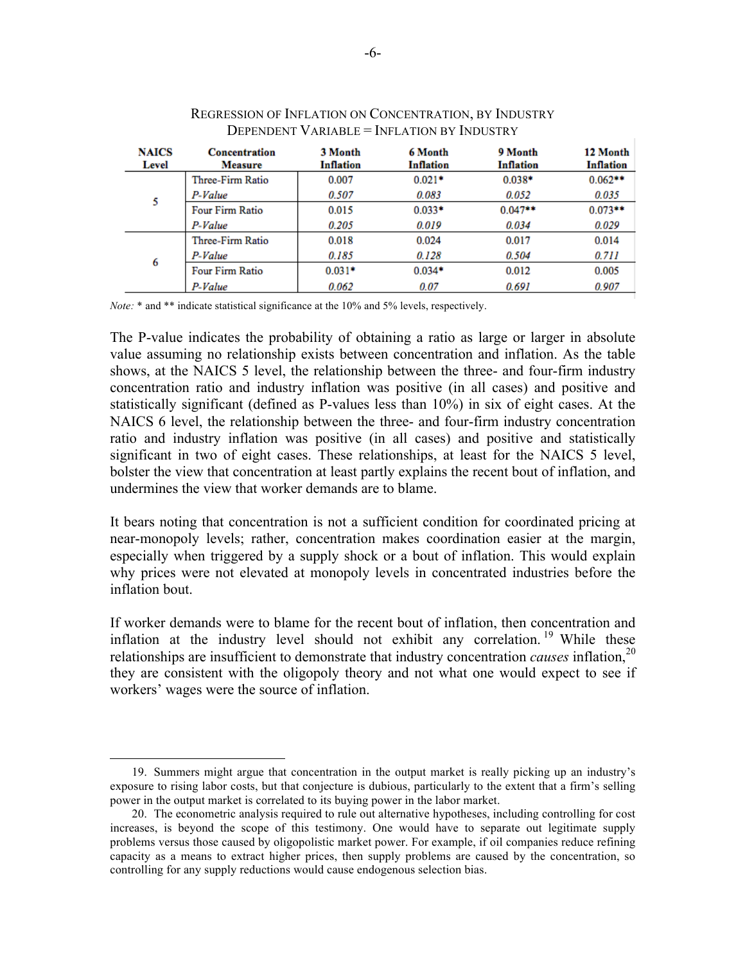| <b>NAICS</b><br>Level | <b>Concentration</b><br><b>Measure</b> | 3 Month<br><b>Inflation</b> | 6 Month<br>Inflation | 9 Month<br>Inflation | 12 Month<br><b>Inflation</b> |
|-----------------------|----------------------------------------|-----------------------------|----------------------|----------------------|------------------------------|
| 5                     | Three-Firm Ratio                       | 0.007                       | $0.021*$             | $0.038*$             | $0.062**$                    |
|                       | P-Value                                | 0.507                       | 0.083                | 0.052                | 0.035                        |
|                       | <b>Four Firm Ratio</b>                 | 0.015                       | $0.033*$             | $0.047**$            | $0.073**$                    |
|                       | P-Value                                | 0.205                       | 0.019                | 0.034                | 0.029                        |
| 6                     | Three-Firm Ratio                       | 0.018                       | 0.024                | 0.017                | 0.014                        |
|                       | P-Value                                | 0.185                       | 0.128                | 0.504                | 0.711                        |
|                       | <b>Four Firm Ratio</b>                 | $0.031*$                    | $0.034*$             | 0.012                | 0.005                        |
|                       | P-Value                                | 0.062                       | 0.07                 | 0.691                | 0.907                        |

## REGRESSION OF INFLATION ON CONCENTRATION, BY INDUSTRY DEPENDENT VARIABLE = INFLATION BY INDUSTRY

*Note:* \* and \*\* indicate statistical significance at the 10% and 5% levels, respectively.

The P-value indicates the probability of obtaining a ratio as large or larger in absolute value assuming no relationship exists between concentration and inflation. As the table shows, at the NAICS 5 level, the relationship between the three- and four-firm industry concentration ratio and industry inflation was positive (in all cases) and positive and statistically significant (defined as P-values less than 10%) in six of eight cases. At the NAICS 6 level, the relationship between the three- and four-firm industry concentration ratio and industry inflation was positive (in all cases) and positive and statistically significant in two of eight cases. These relationships, at least for the NAICS 5 level, bolster the view that concentration at least partly explains the recent bout of inflation, and undermines the view that worker demands are to blame.

It bears noting that concentration is not a sufficient condition for coordinated pricing at near-monopoly levels; rather, concentration makes coordination easier at the margin, especially when triggered by a supply shock or a bout of inflation. This would explain why prices were not elevated at monopoly levels in concentrated industries before the inflation bout.

If worker demands were to blame for the recent bout of inflation, then concentration and inflation at the industry level should not exhibit any correlation.<sup>19</sup> While these relationships are insufficient to demonstrate that industry concentration *causes* inflation,<sup>20</sup> they are consistent with the oligopoly theory and not what one would expect to see if workers' wages were the source of inflation.

<sup>19.</sup> Summers might argue that concentration in the output market is really picking up an industry's exposure to rising labor costs, but that conjecture is dubious, particularly to the extent that a firm's selling power in the output market is correlated to its buying power in the labor market.

<sup>20.</sup> The econometric analysis required to rule out alternative hypotheses, including controlling for cost increases, is beyond the scope of this testimony. One would have to separate out legitimate supply problems versus those caused by oligopolistic market power. For example, if oil companies reduce refining capacity as a means to extract higher prices, then supply problems are caused by the concentration, so controlling for any supply reductions would cause endogenous selection bias.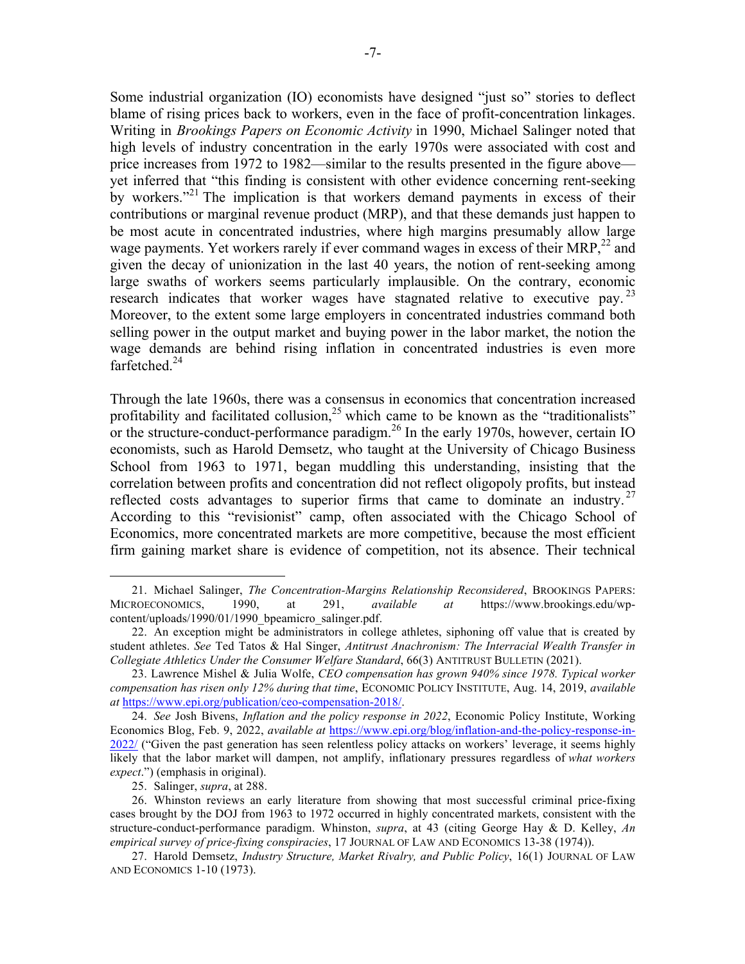Some industrial organization (IO) economists have designed "just so" stories to deflect blame of rising prices back to workers, even in the face of profit-concentration linkages. Writing in *Brookings Papers on Economic Activity* in 1990, Michael Salinger noted that high levels of industry concentration in the early 1970s were associated with cost and price increases from 1972 to 1982—similar to the results presented in the figure above yet inferred that "this finding is consistent with other evidence concerning rent-seeking by workers."<sup>21</sup> The implication is that workers demand payments in excess of their contributions or marginal revenue product (MRP), and that these demands just happen to be most acute in concentrated industries, where high margins presumably allow large wage payments. Yet workers rarely if ever command wages in excess of their MRP,  $^{22}$  and given the decay of unionization in the last 40 years, the notion of rent-seeking among large swaths of workers seems particularly implausible. On the contrary, economic research indicates that worker wages have stagnated relative to executive pay.<sup>23</sup> Moreover, to the extent some large employers in concentrated industries command both selling power in the output market and buying power in the labor market, the notion the wage demands are behind rising inflation in concentrated industries is even more farfetched.<sup>24</sup>

Through the late 1960s, there was a consensus in economics that concentration increased profitability and facilitated collusion,  $25$  which came to be known as the "traditionalists" or the structure-conduct-performance paradigm.<sup>26</sup> In the early 1970s, however, certain IO economists, such as Harold Demsetz, who taught at the University of Chicago Business School from 1963 to 1971, began muddling this understanding, insisting that the correlation between profits and concentration did not reflect oligopoly profits, but instead reflected costs advantages to superior firms that came to dominate an industry.<sup>27</sup> According to this "revisionist" camp, often associated with the Chicago School of Economics, more concentrated markets are more competitive, because the most efficient firm gaining market share is evidence of competition, not its absence. Their technical

<sup>21.</sup> Michael Salinger, *The Concentration-Margins Relationship Reconsidered*, BROOKINGS PAPERS: MICROECONOMICS, 1990, at 291, *available at* https://www.brookings.edu/wpcontent/uploads/1990/01/1990\_bpeamicro\_salinger.pdf.

<sup>22.</sup> An exception might be administrators in college athletes, siphoning off value that is created by student athletes. *See* Ted Tatos & Hal Singer, *Antitrust Anachronism: The Interracial Wealth Transfer in Collegiate Athletics Under the Consumer Welfare Standard*, 66(3) ANTITRUST BULLETIN (2021).

<sup>23.</sup> Lawrence Mishel & Julia Wolfe, *CEO compensation has grown 940% since 1978. Typical worker compensation has risen only 12% during that time*, ECONOMIC POLICY INSTITUTE, Aug. 14, 2019, *available at* https://www.epi.org/publication/ceo-compensation-2018/.

<sup>24.</sup> *See* Josh Bivens, *Inflation and the policy response in 2022*, Economic Policy Institute, Working Economics Blog, Feb. 9, 2022, *available at* https://www.epi.org/blog/inflation-and-the-policy-response-in-2022/ ("Given the past generation has seen relentless policy attacks on workers' leverage, it seems highly likely that the labor market will dampen, not amplify, inflationary pressures regardless of *what workers expect*.") (emphasis in original).

<sup>25.</sup> Salinger, *supra*, at 288.

<sup>26.</sup> Whinston reviews an early literature from showing that most successful criminal price-fixing cases brought by the DOJ from 1963 to 1972 occurred in highly concentrated markets, consistent with the structure-conduct-performance paradigm. Whinston, *supra*, at 43 (citing George Hay & D. Kelley, *An empirical survey of price-fixing conspiracies*, 17 JOURNAL OF LAW AND ECONOMICS 13-38 (1974)).

<sup>27.</sup> Harold Demsetz, *Industry Structure, Market Rivalry, and Public Policy*, 16(1) JOURNAL OF LAW AND ECONOMICS 1-10 (1973).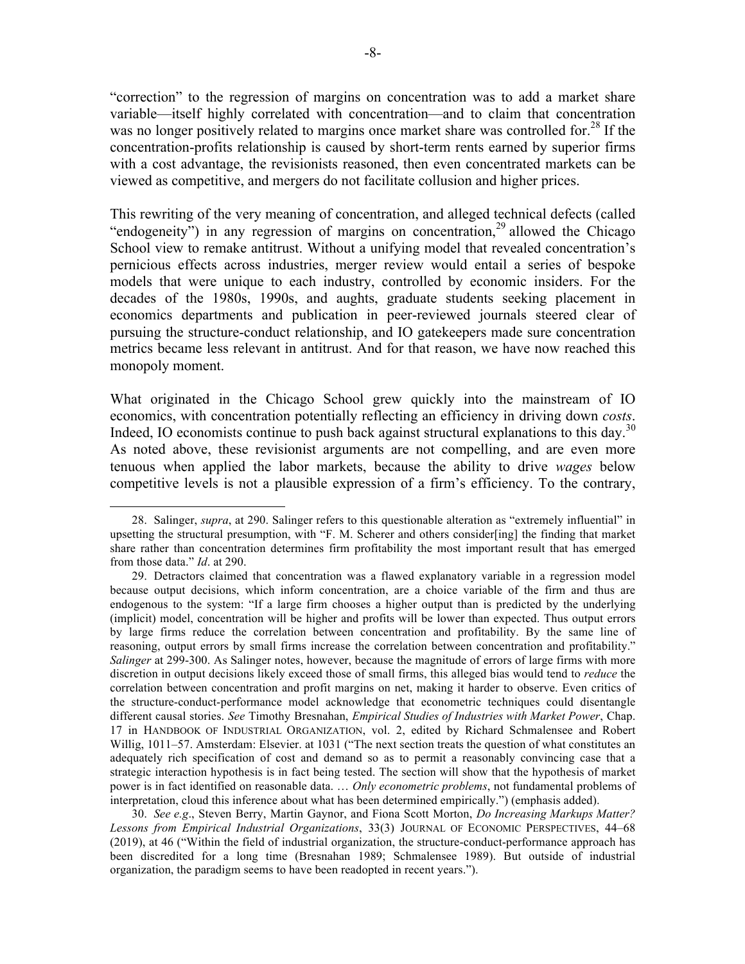"correction" to the regression of margins on concentration was to add a market share variable—itself highly correlated with concentration—and to claim that concentration was no longer positively related to margins once market share was controlled for.<sup>28</sup> If the concentration-profits relationship is caused by short-term rents earned by superior firms with a cost advantage, the revisionists reasoned, then even concentrated markets can be viewed as competitive, and mergers do not facilitate collusion and higher prices.

This rewriting of the very meaning of concentration, and alleged technical defects (called "endogeneity") in any regression of margins on concentration,<sup>29</sup> allowed the Chicago School view to remake antitrust. Without a unifying model that revealed concentration's pernicious effects across industries, merger review would entail a series of bespoke models that were unique to each industry, controlled by economic insiders. For the decades of the 1980s, 1990s, and aughts, graduate students seeking placement in economics departments and publication in peer-reviewed journals steered clear of pursuing the structure-conduct relationship, and IO gatekeepers made sure concentration metrics became less relevant in antitrust. And for that reason, we have now reached this monopoly moment.

What originated in the Chicago School grew quickly into the mainstream of IO economics, with concentration potentially reflecting an efficiency in driving down *costs*. Indeed, IO economists continue to push back against structural explanations to this day.<sup>30</sup> As noted above, these revisionist arguments are not compelling, and are even more tenuous when applied the labor markets, because the ability to drive *wages* below competitive levels is not a plausible expression of a firm's efficiency. To the contrary,

 

30. *See e.g*., Steven Berry, Martin Gaynor, and Fiona Scott Morton, *Do Increasing Markups Matter? Lessons from Empirical Industrial Organizations*, 33(3) JOURNAL OF ECONOMIC PERSPECTIVES, 44–68 (2019), at 46 ("Within the field of industrial organization, the structure-conduct-performance approach has been discredited for a long time (Bresnahan 1989; Schmalensee 1989). But outside of industrial organization, the paradigm seems to have been readopted in recent years.").

<sup>28.</sup> Salinger, *supra*, at 290. Salinger refers to this questionable alteration as "extremely influential" in upsetting the structural presumption, with "F. M. Scherer and others consider[ing] the finding that market share rather than concentration determines firm profitability the most important result that has emerged from those data." *Id*. at 290.

<sup>29.</sup> Detractors claimed that concentration was a flawed explanatory variable in a regression model because output decisions, which inform concentration, are a choice variable of the firm and thus are endogenous to the system: "If a large firm chooses a higher output than is predicted by the underlying (implicit) model, concentration will be higher and profits will be lower than expected. Thus output errors by large firms reduce the correlation between concentration and profitability. By the same line of reasoning, output errors by small firms increase the correlation between concentration and profitability." *Salinger* at 299-300. As Salinger notes, however, because the magnitude of errors of large firms with more discretion in output decisions likely exceed those of small firms, this alleged bias would tend to *reduce* the correlation between concentration and profit margins on net, making it harder to observe. Even critics of the structure-conduct-performance model acknowledge that econometric techniques could disentangle different causal stories. *See* Timothy Bresnahan, *Empirical Studies of Industries with Market Power*, Chap. 17 in HANDBOOK OF INDUSTRIAL ORGANIZATION, vol. 2, edited by Richard Schmalensee and Robert Willig, 1011–57. Amsterdam: Elsevier. at 1031 ("The next section treats the question of what constitutes an adequately rich specification of cost and demand so as to permit a reasonably convincing case that a strategic interaction hypothesis is in fact being tested. The section will show that the hypothesis of market power is in fact identified on reasonable data. … *Only econometric problems*, not fundamental problems of interpretation, cloud this inference about what has been determined empirically.") (emphasis added).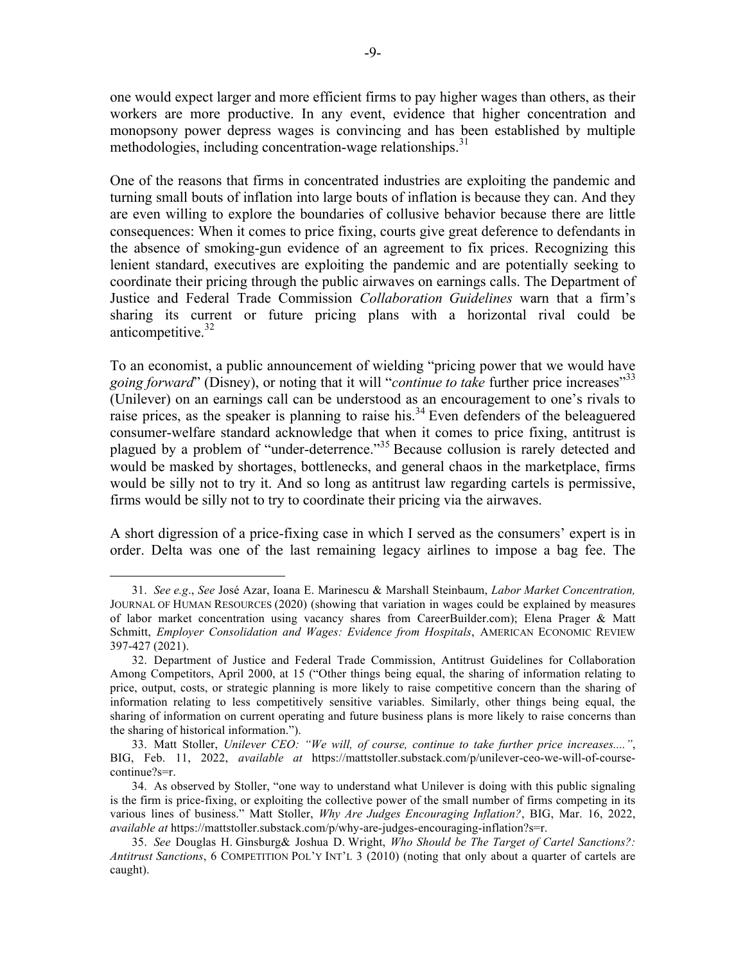one would expect larger and more efficient firms to pay higher wages than others, as their workers are more productive. In any event, evidence that higher concentration and monopsony power depress wages is convincing and has been established by multiple methodologies, including concentration-wage relationships.<sup>31</sup>

One of the reasons that firms in concentrated industries are exploiting the pandemic and turning small bouts of inflation into large bouts of inflation is because they can. And they are even willing to explore the boundaries of collusive behavior because there are little consequences: When it comes to price fixing, courts give great deference to defendants in the absence of smoking-gun evidence of an agreement to fix prices. Recognizing this lenient standard, executives are exploiting the pandemic and are potentially seeking to coordinate their pricing through the public airwaves on earnings calls. The Department of Justice and Federal Trade Commission *Collaboration Guidelines* warn that a firm's sharing its current or future pricing plans with a horizontal rival could be anticompetitive. $32$ 

To an economist, a public announcement of wielding "pricing power that we would have going forward" (Disney), or noting that it will "*continue to take* further price increases"<sup>33</sup> (Unilever) on an earnings call can be understood as an encouragement to one's rivals to raise prices, as the speaker is planning to raise his.<sup>34</sup> Even defenders of the beleaguered consumer-welfare standard acknowledge that when it comes to price fixing, antitrust is plagued by a problem of "under-deterrence."<sup>35</sup> Because collusion is rarely detected and would be masked by shortages, bottlenecks, and general chaos in the marketplace, firms would be silly not to try it. And so long as antitrust law regarding cartels is permissive, firms would be silly not to try to coordinate their pricing via the airwaves.

A short digression of a price-fixing case in which I served as the consumers' expert is in order. Delta was one of the last remaining legacy airlines to impose a bag fee. The

<sup>31.</sup> *See e.g*., *See* José Azar, Ioana E. Marinescu & Marshall Steinbaum, *Labor Market Concentration,*  JOURNAL OF HUMAN RESOURCES (2020) (showing that variation in wages could be explained by measures of labor market concentration using vacancy shares from CareerBuilder.com); Elena Prager & Matt Schmitt, *Employer Consolidation and Wages: Evidence from Hospitals*, AMERICAN ECONOMIC REVIEW 397-427 (2021).

<sup>32.</sup> Department of Justice and Federal Trade Commission, Antitrust Guidelines for Collaboration Among Competitors, April 2000, at 15 ("Other things being equal, the sharing of information relating to price, output, costs, or strategic planning is more likely to raise competitive concern than the sharing of information relating to less competitively sensitive variables. Similarly, other things being equal, the sharing of information on current operating and future business plans is more likely to raise concerns than the sharing of historical information.").

<sup>33.</sup> Matt Stoller, *Unilever CEO: "We will, of course, continue to take further price increases...."*, BIG, Feb. 11, 2022, *available at* https://mattstoller.substack.com/p/unilever-ceo-we-will-of-coursecontinue?s=r.

<sup>34.</sup> As observed by Stoller, "one way to understand what Unilever is doing with this public signaling is the firm is price-fixing, or exploiting the collective power of the small number of firms competing in its various lines of business." Matt Stoller, *Why Are Judges Encouraging Inflation?*, BIG, Mar. 16, 2022, *available at* https://mattstoller.substack.com/p/why-are-judges-encouraging-inflation?s=r.

<sup>35.</sup> *See* Douglas H. Ginsburg& Joshua D. Wright, *Who Should be The Target of Cartel Sanctions?: Antitrust Sanctions*, 6 COMPETITION POL'Y INT'L 3 (2010) (noting that only about a quarter of cartels are caught).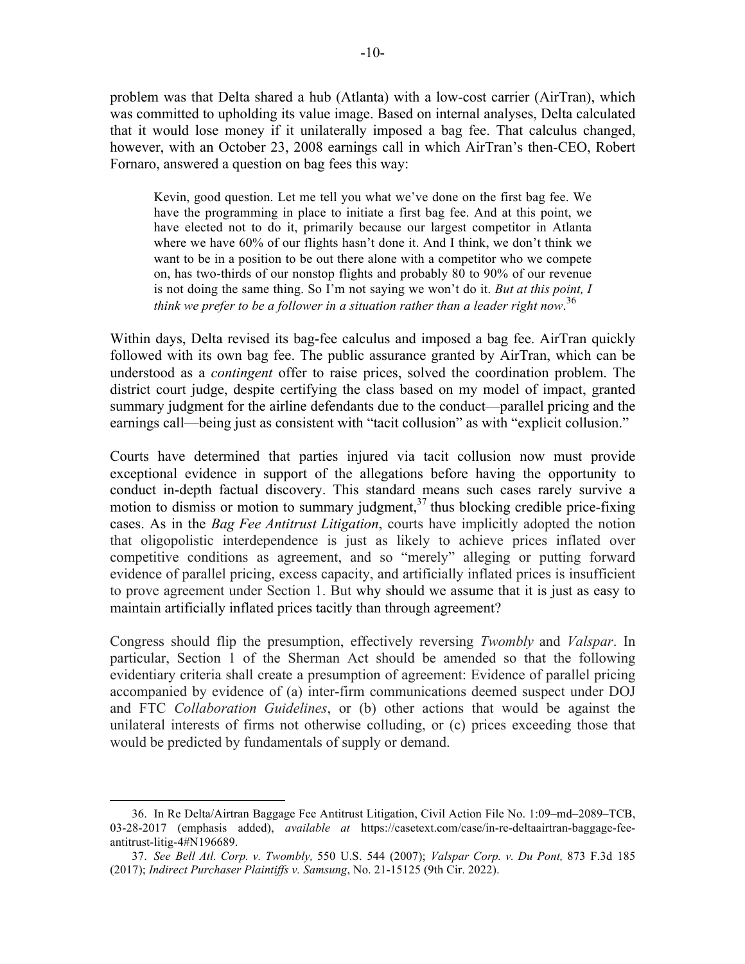problem was that Delta shared a hub (Atlanta) with a low-cost carrier (AirTran), which was committed to upholding its value image. Based on internal analyses, Delta calculated that it would lose money if it unilaterally imposed a bag fee. That calculus changed, however, with an October 23, 2008 earnings call in which AirTran's then-CEO, Robert Fornaro, answered a question on bag fees this way:

Kevin, good question. Let me tell you what we've done on the first bag fee. We have the programming in place to initiate a first bag fee. And at this point, we have elected not to do it, primarily because our largest competitor in Atlanta where we have 60% of our flights hasn't done it. And I think, we don't think we want to be in a position to be out there alone with a competitor who we compete on, has two-thirds of our nonstop flights and probably 80 to 90% of our revenue is not doing the same thing. So I'm not saying we won't do it. *But at this point, I think we prefer to be a follower in a situation rather than a leader right now*. 36

Within days, Delta revised its bag-fee calculus and imposed a bag fee. AirTran quickly followed with its own bag fee. The public assurance granted by AirTran, which can be understood as a *contingent* offer to raise prices, solved the coordination problem. The district court judge, despite certifying the class based on my model of impact, granted summary judgment for the airline defendants due to the conduct—parallel pricing and the earnings call—being just as consistent with "tacit collusion" as with "explicit collusion."

Courts have determined that parties injured via tacit collusion now must provide exceptional evidence in support of the allegations before having the opportunity to conduct in-depth factual discovery. This standard means such cases rarely survive a motion to dismiss or motion to summary judgment,<sup>37</sup> thus blocking credible price-fixing cases. As in the *Bag Fee Antitrust Litigation*, courts have implicitly adopted the notion that oligopolistic interdependence is just as likely to achieve prices inflated over competitive conditions as agreement, and so "merely" alleging or putting forward evidence of parallel pricing, excess capacity, and artificially inflated prices is insufficient to prove agreement under Section 1. But why should we assume that it is just as easy to maintain artificially inflated prices tacitly than through agreement?

Congress should flip the presumption, effectively reversing *Twombly* and *Valspar*. In particular, Section 1 of the Sherman Act should be amended so that the following evidentiary criteria shall create a presumption of agreement: Evidence of parallel pricing accompanied by evidence of (a) inter-firm communications deemed suspect under DOJ and FTC *Collaboration Guidelines*, or (b) other actions that would be against the unilateral interests of firms not otherwise colluding, or (c) prices exceeding those that would be predicted by fundamentals of supply or demand.

<sup>36.</sup> In Re Delta/Airtran Baggage Fee Antitrust Litigation, Civil Action File No. 1:09–md–2089–TCB, 03-28-2017 (emphasis added), *available at* https://casetext.com/case/in-re-deltaairtran-baggage-feeantitrust-litig-4#N196689.

<sup>37.</sup> *See Bell Atl. Corp. v. Twombly,* 550 U.S. 544 (2007); *Valspar Corp. v. Du Pont,* 873 F.3d 185 (2017); *Indirect Purchaser Plaintiffs v. Samsung*, No. 21-15125 (9th Cir. 2022).